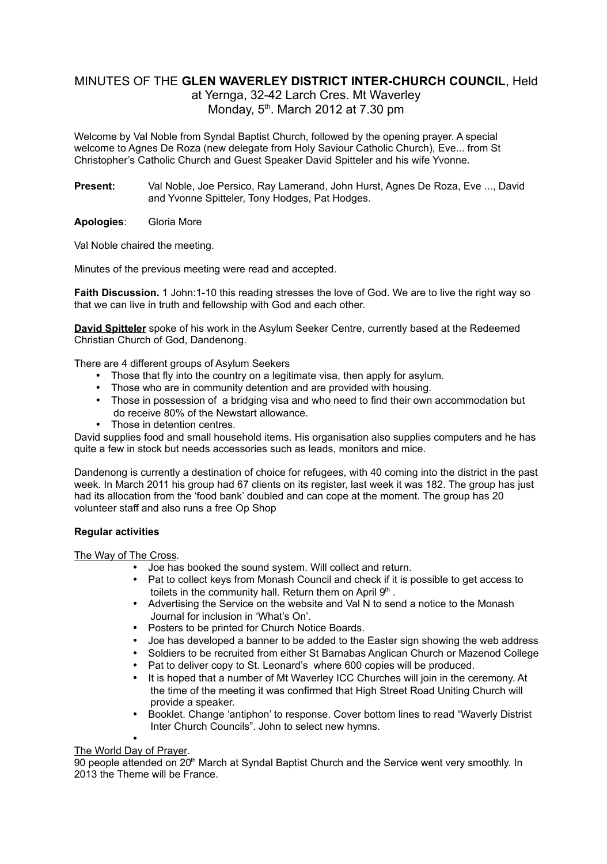# MINUTES OF THE **GLEN WAVERLEY DISTRICT INTER-CHURCH COUNCIL**, Held

at Yernga, 32-42 Larch Cres. Mt Waverley Monday,  $5<sup>th</sup>$ . March 2012 at 7.30 pm

Welcome by Val Noble from Syndal Baptist Church, followed by the opening prayer. A special welcome to Agnes De Roza (new delegate from Holy Saviour Catholic Church), Eve... from St Christopher's Catholic Church and Guest Speaker David Spitteler and his wife Yvonne.

**Present:** Val Noble, Joe Persico, Ray Lamerand, John Hurst, Agnes De Roza, Eve ..., David and Yvonne Spitteler, Tony Hodges, Pat Hodges.

**Apologies**: Gloria More

Val Noble chaired the meeting.

Minutes of the previous meeting were read and accepted.

**Faith Discussion.** 1 John:1-10 this reading stresses the love of God. We are to live the right way so that we can live in truth and fellowship with God and each other.

**David Spitteler** spoke of his work in the Asylum Seeker Centre, currently based at the Redeemed Christian Church of God, Dandenong.

There are 4 different groups of Asylum Seekers

- Those that fly into the country on a legitimate visa, then apply for asylum.
- Those who are in community detention and are provided with housing.
- Those in possession of a bridging visa and who need to find their own accommodation but do receive 80% of the Newstart allowance.
- Those in detention centres.

David supplies food and small household items. His organisation also supplies computers and he has quite a few in stock but needs accessories such as leads, monitors and mice.

Dandenong is currently a destination of choice for refugees, with 40 coming into the district in the past week. In March 2011 his group had 67 clients on its register, last week it was 182. The group has just had its allocation from the 'food bank' doubled and can cope at the moment. The group has 20 volunteer staff and also runs a free Op Shop

# **Regular activities**

The Way of The Cross.

- Joe has booked the sound system. Will collect and return.
- Pat to collect keys from Monash Council and check if it is possible to get access to toilets in the community hall. Return them on April  $9<sup>th</sup>$ .
- Advertising the Service on the website and Val N to send a notice to the Monash Journal for inclusion in 'What's On'.
- Posters to be printed for Church Notice Boards.
- Joe has developed a banner to be added to the Easter sign showing the web address
- Soldiers to be recruited from either St Barnabas Anglican Church or Mazenod College
- Pat to deliver copy to St. Leonard's where 600 copies will be produced.
- It is hoped that a number of Mt Waverley ICC Churches will join in the ceremony. At the time of the meeting it was confirmed that High Street Road Uniting Church will provide a speaker.
- Booklet. Change 'antiphon' to response. Cover bottom lines to read "Waverly Distrist Inter Church Councils". John to select new hymns.

#### • The World Day of Prayer.

90 people attended on 20<sup>th</sup> March at Syndal Baptist Church and the Service went very smoothly. In 2013 the Theme will be France.